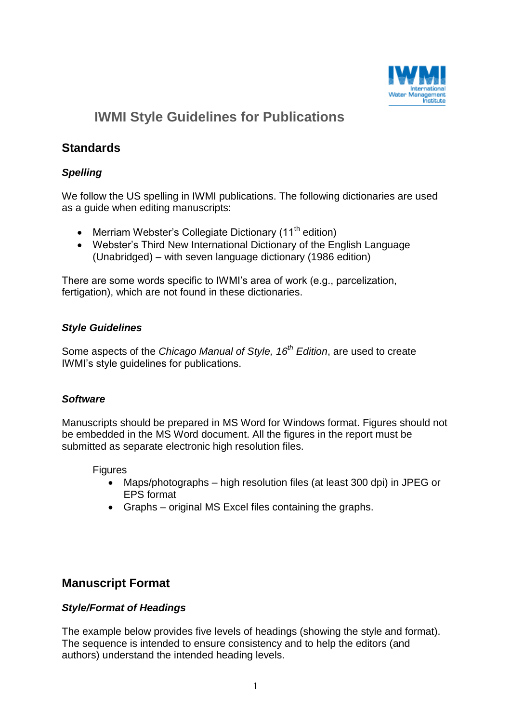

# **IWMI Style Guidelines for Publications**

# **Standards**

# *Spelling*

We follow the US spelling in IWMI publications. The following dictionaries are used as a guide when editing manuscripts:

- Merriam Webster's Collegiate Dictionary  $(11<sup>th</sup>$  edition)
- Webster's Third New International Dictionary of the English Language (Unabridged) – with seven language dictionary (1986 edition)

There are some words specific to IWMI's area of work (e.g., parcelization, fertigation), which are not found in these dictionaries.

### *Style Guidelines*

Some aspects of the *Chicago Manual of Style, 16th Edition*, are used to create IWMI's style guidelines for publications.

# *Software*

Manuscripts should be prepared in MS Word for Windows format. Figures should not be embedded in the MS Word document. All the figures in the report must be submitted as separate electronic high resolution files.

Figures

- Maps/photographs high resolution files (at least 300 dpi) in JPEG or EPS format
- Graphs original MS Excel files containing the graphs.

# **Manuscript Format**

# *Style/Format of Headings*

The example below provides five levels of headings (showing the style and format). The sequence is intended to ensure consistency and to help the editors (and authors) understand the intended heading levels.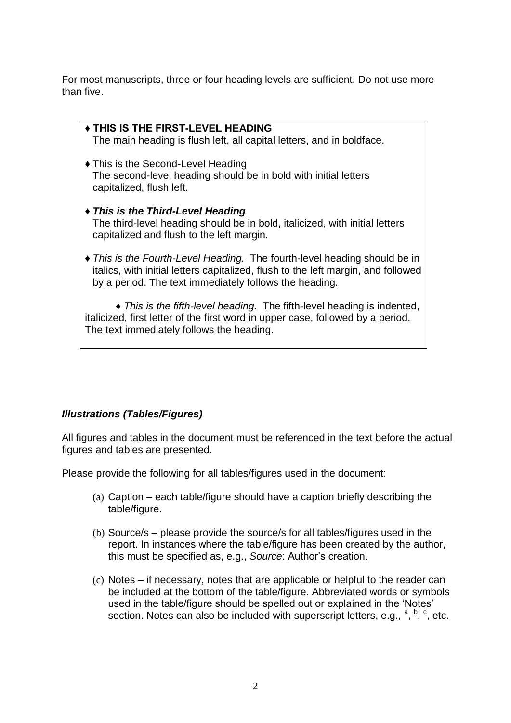For most manuscripts, three or four heading levels are sufficient. Do not use more than five.

| ◆ THIS IS THE FIRST-LEVEL HEADING<br>The main heading is flush left, all capital letters, and in boldface.                                                                                                               |
|--------------------------------------------------------------------------------------------------------------------------------------------------------------------------------------------------------------------------|
| • This is the Second-Level Heading<br>The second-level heading should be in bold with initial letters<br>capitalized, flush left.                                                                                        |
| ◆ This is the Third-Level Heading<br>The third-level heading should be in bold, italicized, with initial letters<br>capitalized and flush to the left margin.                                                            |
| • This is the Fourth-Level Heading. The fourth-level heading should be in<br>italics, with initial letters capitalized, flush to the left margin, and followed<br>by a period. The text immediately follows the heading. |

 **♦** *This is the fifth-level heading.* The fifth-level heading is indented, italicized, first letter of the first word in upper case, followed by a period. The text immediately follows the heading.

# *Illustrations (Tables/Figures)*

All figures and tables in the document must be referenced in the text before the actual figures and tables are presented.

Please provide the following for all tables/figures used in the document:

- (a) Caption each table/figure should have a caption briefly describing the table/figure.
- (b) Source/s please provide the source/s for all tables/figures used in the report. In instances where the table/figure has been created by the author, this must be specified as, e.g., *Source*: Author's creation.
- (c) Notes if necessary, notes that are applicable or helpful to the reader can be included at the bottom of the table/figure. Abbreviated words or symbols used in the table/figure should be spelled out or explained in the 'Notes' section. Notes can also be included with superscript letters, e.g.,  $a, b, c$ , etc.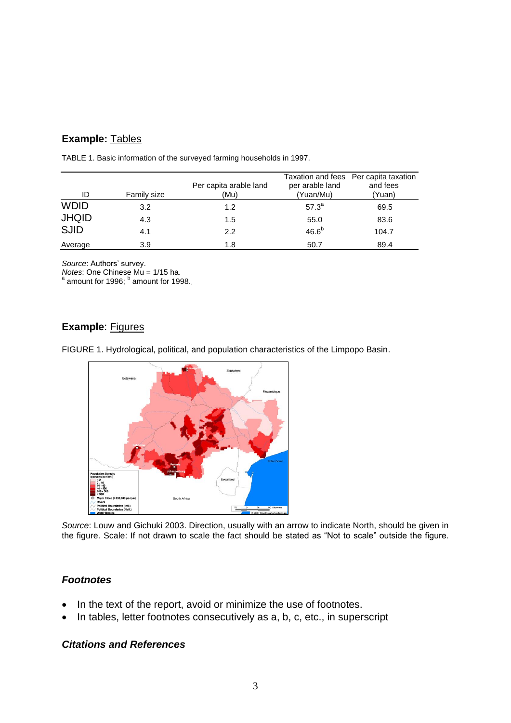# **Example:** Tables

| ID           | Family size | Per capita arable land<br>(Mu) | per arable land<br>(Yuan/Mu) | Taxation and fees Per capita taxation<br>and fees<br>(Yuan) |
|--------------|-------------|--------------------------------|------------------------------|-------------------------------------------------------------|
| <b>WDID</b>  | 3.2         | 1.2                            | $57.3^{a}$                   | 69.5                                                        |
| <b>JHQID</b> | 4.3         | 1.5                            | 55.0                         | 83.6                                                        |
| <b>SJID</b>  | 4.1         | 2.2                            | 46.6 <sup>b</sup>            | 104.7                                                       |
| Average      | 3.9         | 1.8                            | 50.7                         | 89.4                                                        |

TABLE 1. Basic information of the surveyed farming households in 1997.

*Source*: Authors' survey.

*Notes*: One Chinese Mu = 1/15 ha.

<sup>a</sup> amount for 1996; <sup>b</sup> amount for 1998.

# **Example: Figures**

FIGURE 1. Hydrological, political, and population characteristics of the Limpopo Basin.



*Source*: Louw and Gichuki 2003. Direction, usually with an arrow to indicate North, should be given in the figure. Scale: If not drawn to scale the fact should be stated as "Not to scale" outside the figure.

# *Footnotes*

- In the text of the report, avoid or minimize the use of footnotes.
- In tables, letter footnotes consecutively as a, b, c, etc., in superscript

### *Citations and References*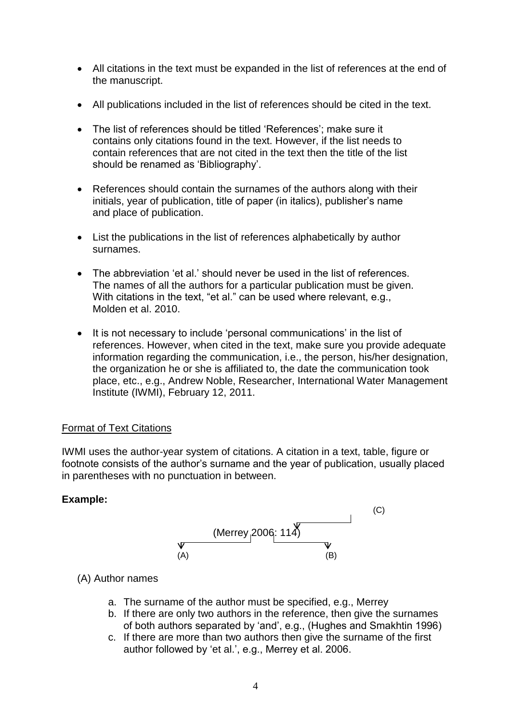- All citations in the text must be expanded in the list of references at the end of the manuscript.
- All publications included in the list of references should be cited in the text.
- The list of references should be titled 'References'; make sure it contains only citations found in the text. However, if the list needs to contain references that are not cited in the text then the title of the list should be renamed as 'Bibliography'.
- References should contain the surnames of the authors along with their initials, year of publication, title of paper (in italics), publisher's name and place of publication.
- List the publications in the list of references alphabetically by author surnames.
- The abbreviation 'et al.' should never be used in the list of references. The names of all the authors for a particular publication must be given. With citations in the text, "et al." can be used where relevant, e.g., Molden et al. 2010.
- It is not necessary to include 'personal communications' in the list of references. However, when cited in the text, make sure you provide adequate information regarding the communication, i.e., the person, his/her designation, the organization he or she is affiliated to, the date the communication took place, etc., e.g., Andrew Noble, Researcher, International Water Management Institute (IWMI), February 12, 2011.

# Format of Text Citations

IWMI uses the author-year system of citations. A citation in a text, table, figure or footnote consists of the author's surname and the year of publication, usually placed in parentheses with no punctuation in between.

# **Example:**



### (A) Author names

- a. The surname of the author must be specified, e.g., Merrey
- b. If there are only two authors in the reference, then give the surnames of both authors separated by 'and', e.g., (Hughes and Smakhtin 1996)
- c. If there are more than two authors then give the surname of the first author followed by 'et al.', e.g., Merrey et al. 2006.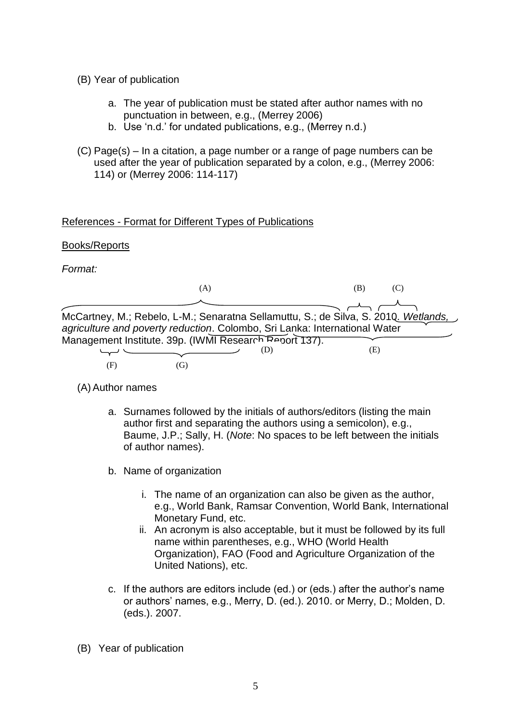- (B) Year of publication
	- a. The year of publication must be stated after author names with no punctuation in between, e.g., (Merrey 2006)
	- b. Use 'n.d.' for undated publications, e.g., (Merrey n.d.)
- (C) Page(s) In a citation, a page number or a range of page numbers can be used after the year of publication separated by a colon, e.g., (Merrey 2006: 114) or (Merrey 2006: 114-117)

### References - Format for Different Types of Publications

### Books/Reports

*Format:*

|                                                                                                                                                                   | (A) |     | (B) |  |
|-------------------------------------------------------------------------------------------------------------------------------------------------------------------|-----|-----|-----|--|
|                                                                                                                                                                   |     |     |     |  |
| McCartney, M.; Rebelo, L-M.; Senaratna Sellamuttu, S.; de Silva, S. 2010. Wetlands,<br>agriculture and poverty reduction. Colombo, Sri Lanka: International Water |     |     |     |  |
| Management Institute. 39p. (IWMI Research Report 137).                                                                                                            |     |     |     |  |
|                                                                                                                                                                   |     | (D) | (E) |  |
| (F)                                                                                                                                                               | G   |     |     |  |

(A) Author names

- a. Surnames followed by the initials of authors/editors (listing the main author first and separating the authors using a semicolon), e.g., Baume, J.P.; Sally, H. (*Note*: No spaces to be left between the initials of author names).
- b. Name of organization
	- i. The name of an organization can also be given as the author, e.g., World Bank, Ramsar Convention, World Bank, International Monetary Fund, etc.
	- ii. An acronym is also acceptable, but it must be followed by its full name within parentheses, e.g., WHO (World Health Organization), FAO (Food and Agriculture Organization of the United Nations), etc.
- c. If the authors are editors include (ed.) or (eds.) after the author's name or authors' names, e.g., Merry, D. (ed.). 2010. or Merry, D.; Molden, D. (eds.). 2007.
- (B) Year of publication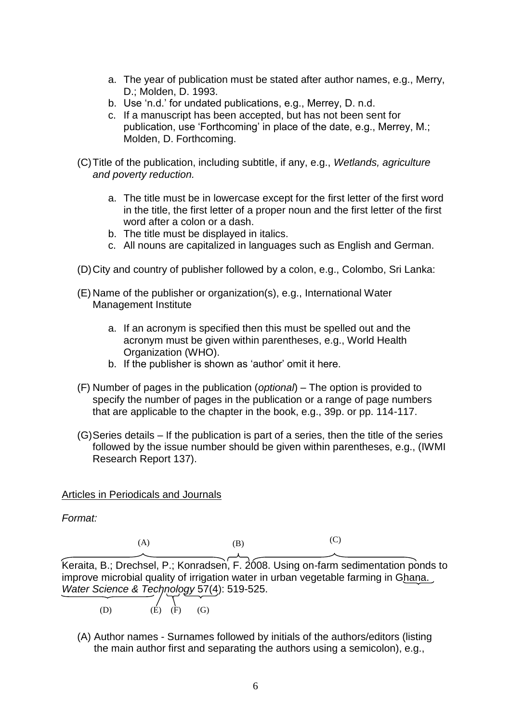- a. The year of publication must be stated after author names, e.g., Merry, D.; Molden, D. 1993.
- b. Use 'n.d.' for undated publications, e.g., Merrey, D. n.d.
- c. If a manuscript has been accepted, but has not been sent for publication, use 'Forthcoming' in place of the date, e.g., Merrey, M.; Molden, D. Forthcoming.
- (C)Title of the publication, including subtitle, if any, e.g., *Wetlands, agriculture and poverty reduction.* 
	- a. The title must be in lowercase except for the first letter of the first word in the title, the first letter of a proper noun and the first letter of the first word after a colon or a dash.
	- b. The title must be displayed in italics.
	- c. All nouns are capitalized in languages such as English and German.
- (D)City and country of publisher followed by a colon, e.g., Colombo, Sri Lanka:
- (E) Name of the publisher or organization(s), e.g., International Water Management Institute
	- a. If an acronym is specified then this must be spelled out and the acronym must be given within parentheses, e.g., World Health Organization (WHO).
	- b. If the publisher is shown as 'author' omit it here.
- (F) Number of pages in the publication (*optional*) The option is provided to specify the number of pages in the publication or a range of page numbers that are applicable to the chapter in the book, e.g., 39p. or pp. 114-117.
- (G)Series details If the publication is part of a series, then the title of the series followed by the issue number should be given within parentheses, e.g., (IWMI Research Report 137).

Articles in Periodicals and Journals

*Format:*

 $(A)$   $(B)$  $(C)$ 

Keraita, B.; Drechsel, P.; Konradsen, F. 2008. Using on-farm sedimentation ponds to improve microbial quality of irrigation water in urban vegetable farming in Ghana. *Water Science & Technology* 57(4): 519-525.

(D)  $(\vec{E}) (\vec{F}) (\vec{G})$ 

(A) Author names - Surnames followed by initials of the authors/editors (listing the main author first and separating the authors using a semicolon), e.g.,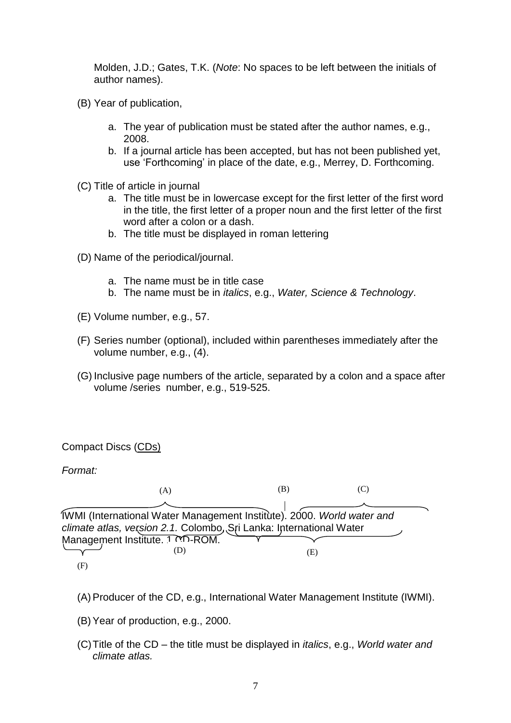Molden, J.D.; Gates, T.K. (*Note*: No spaces to be left between the initials of author names).

- (B) Year of publication,
	- a. The year of publication must be stated after the author names, e.g., 2008.
	- b. If a journal article has been accepted, but has not been published yet, use 'Forthcoming' in place of the date, e.g., Merrey, D. Forthcoming.
- (C) Title of article in journal
	- a. The title must be in lowercase except for the first letter of the first word in the title, the first letter of a proper noun and the first letter of the first word after a colon or a dash.
	- b. The title must be displayed in roman lettering
- (D) Name of the periodical/journal.
	- a. The name must be in title case
	- b. The name must be in *italics*, e.g., *Water, Science & Technology*.
- (E) Volume number, e.g., 57.
- (F) Series number (optional), included within parentheses immediately after the volume number, e.g., (4).
- (G) Inclusive page numbers of the article, separated by a colon and a space after volume /series number, e.g., 519-525.

### Compact Discs (CDs)

*Format:* 

IWMI (International Water Management Institute). 2000. *World water and climate atlas, version 2.1.* Colombo, Sri Lanka: International Water Management Institute. 1 CD-ROM. (A)  $(B)$  (C) (D) (E) (F)

- (A)Producer of the CD, e.g., International Water Management Institute (IWMI).
- (B)Year of production, e.g., 2000.
- (C)Title of the CD the title must be displayed in *italics*, e.g., *World water and climate atlas.*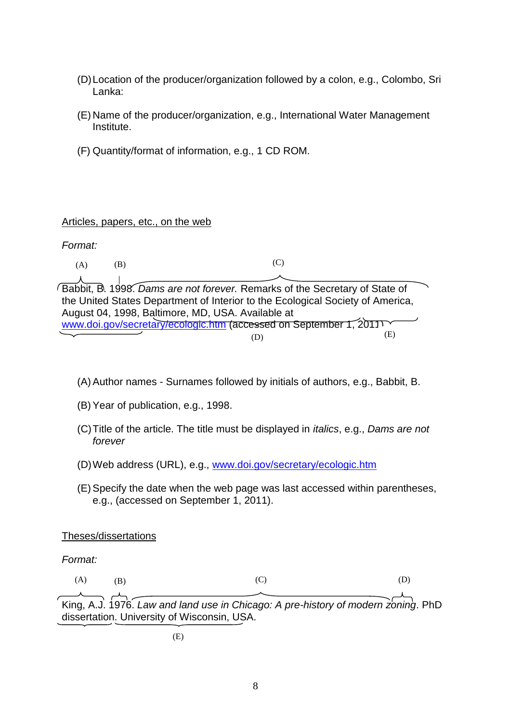- (D)Location of the producer/organization followed by a colon, e.g., Colombo, Sri Lanka:
- (E) Name of the producer/organization, e.g., International Water Management Institute.
- (F) Quantity/format of information, e.g., 1 CD ROM.

### Articles, papers, etc., on the web

*Format:*

 $(A)$   $(B)$ (C)

Babbit, B. 1998. *Dams are not forever.* Remarks of the Secretary of State of the United States Department of Interior to the Ecological Society of America, August 04, 1998, Baltimore, MD, USA. Available at [www.doi.gov/secretary/ecologic.htm](http://www.doi.gov/secretary/ecologic.htm) (accessed on September 1, 2011). (D) (E)

- (A)Author names Surnames followed by initials of authors, e.g., Babbit, B.
- (B)Year of publication, e.g., 1998.
- (C)Title of the article. The title must be displayed in *italics*, e.g., *Dams are not forever*
- (D)Web address (URL), e.g., [www.doi.gov/secretary/ecologic.htm](http://www.doi.gov/secretary/ecologic.htm)
- (E)Specify the date when the web page was last accessed within parentheses, e.g., (accessed on September 1, 2011).

### Theses/dissertations

*Format:*

 $(A)$  (B)  $(C)$  (D)

King, A.J. 1976. *Law and land use in Chicago: A pre-history of modern zoning*. PhD dissertation. University of Wisconsin, USA.

(E)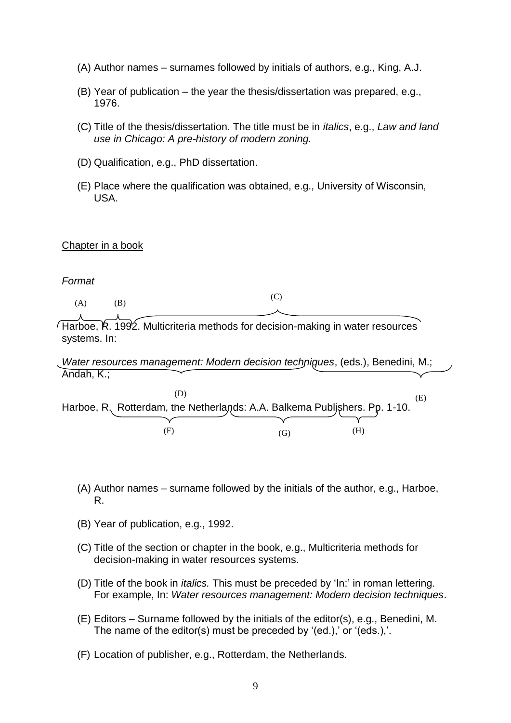- (A) Author names surnames followed by initials of authors, e.g., King, A.J.
- (B) Year of publication the year the thesis/dissertation was prepared, e.g., 1976.
- (C) Title of the thesis/dissertation. The title must be in *italics*, e.g., *Law and land use in Chicago: A pre-history of modern zoning.*
- (D) Qualification, e.g., PhD dissertation.
- (E) Place where the qualification was obtained, e.g., University of Wisconsin, USA.

#### Chapter in a book

#### *Format*

 $(A)$   $(B)$  $(C)$ 

 $\ell$ Harboe,  $\hat{R}$ . 1992. Multicriteria methods for decision-making in water resources systems. In:

*Water resources management: Modern decision techniques*, (eds.), Benedini, M.; Andah, K.;

|                                                                           |     |    | (E) |
|---------------------------------------------------------------------------|-----|----|-----|
| Harboe, R. Rotterdam, the Netherlands: A.A. Balkema Publjshers. Pp. 1-10. |     |    |     |
|                                                                           |     |    |     |
| Ŧ                                                                         | (f) | H) |     |

- (A) Author names surname followed by the initials of the author, e.g., Harboe, R.
- (B) Year of publication, e.g., 1992.
- (C) Title of the section or chapter in the book, e.g., Multicriteria methods for decision-making in water resources systems.
- (D) Title of the book in *italics.* This must be preceded by 'In:' in roman lettering. For example, In: *Water resources management: Modern decision techniques*.
- (E) Editors Surname followed by the initials of the editor(s), e.g., Benedini, M. The name of the editor(s) must be preceded by '(ed.),' or '(eds.),'.
- (F) Location of publisher, e.g., Rotterdam, the Netherlands.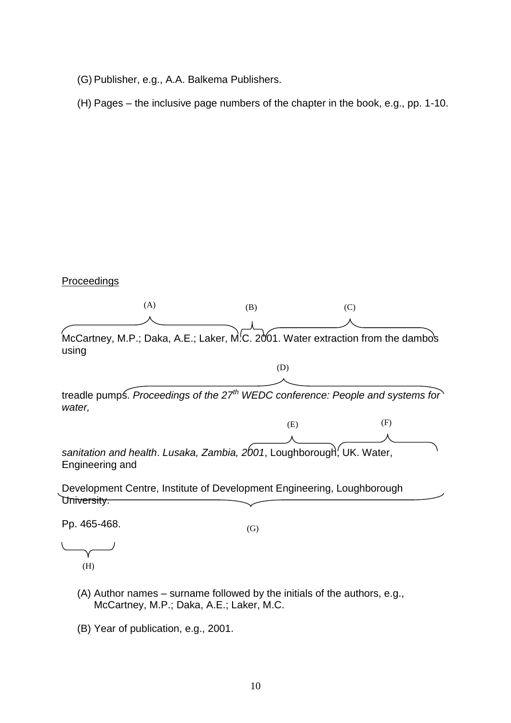- (G) Publisher, e.g., A.A. Balkema Publishers.
- (H) Pages the inclusive page numbers of the chapter in the book, e.g., pp. 1-10.

### Proceedings



 $\overline{\phantom{0}}$ (H)

- (A) Author names surname followed by the initials of the authors, e.g., McCartney, M.P.; Daka, A.E.; Laker, M.C.
- (B) Year of publication, e.g., 2001.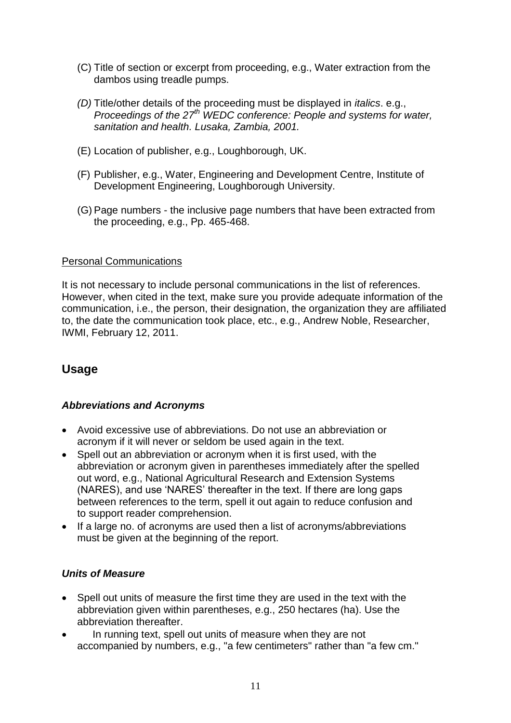- (C) Title of section or excerpt from proceeding, e.g., Water extraction from the dambos using treadle pumps.
- *(D)* Title/other details of the proceeding must be displayed in *italics*. e.g., *Proceedings of the 27th WEDC conference: People and systems for water, sanitation and health. Lusaka, Zambia, 2001.*
- (E) Location of publisher, e.g., Loughborough, UK.
- (F) Publisher, e.g., Water, Engineering and Development Centre, Institute of Development Engineering, Loughborough University.
- (G) Page numbers the inclusive page numbers that have been extracted from the proceeding, e.g., Pp. 465-468.

### Personal Communications

It is not necessary to include personal communications in the list of references. However, when cited in the text, make sure you provide adequate information of the communication, i.e., the person, their designation, the organization they are affiliated to, the date the communication took place, etc., e.g., Andrew Noble, Researcher, IWMI, February 12, 2011.

# **Usage**

# *Abbreviations and Acronyms*

- Avoid excessive use of abbreviations. Do not use an abbreviation or acronym if it will never or seldom be used again in the text.
- Spell out an abbreviation or acronym when it is first used, with the abbreviation or acronym given in parentheses immediately after the spelled out word, e.g., National Agricultural Research and Extension Systems (NARES), and use 'NARES' thereafter in the text. If there are long gaps between references to the term, spell it out again to reduce confusion and to support reader comprehension.
- If a large no. of acronyms are used then a list of acronyms/abbreviations must be given at the beginning of the report.

# *Units of Measure*

- Spell out units of measure the first time they are used in the text with the abbreviation given within parentheses, e.g., 250 hectares (ha). Use the abbreviation thereafter.
- In running text, spell out units of measure when they are not accompanied by numbers, e.g., "a few centimeters" rather than "a few cm."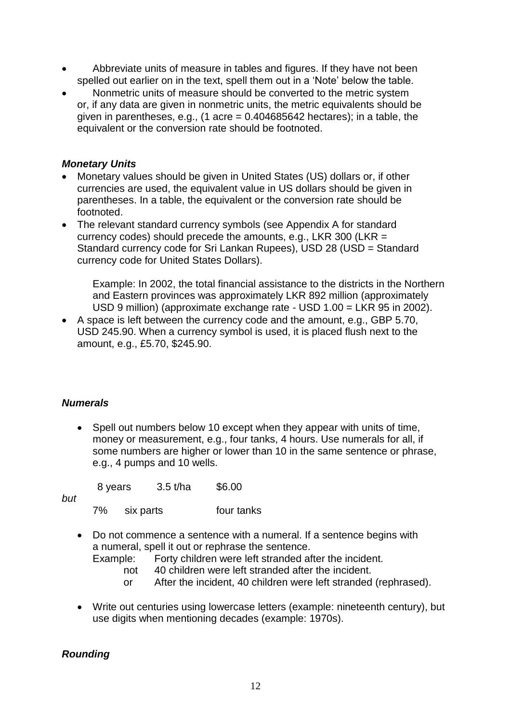- Abbreviate units of measure in tables and figures. If they have not been spelled out earlier on in the text, spell them out in a 'Note' below the table.
- Nonmetric units of measure should be converted to the metric system or, if any data are given in nonmetric units, the metric equivalents should be given in parentheses, e.g.,  $(1 \text{ acre} = 0.404685642 \text{ hectares})$ ; in a table, the equivalent or the conversion rate should be footnoted.

### *Monetary Units*

- Monetary values should be given in United States (US) dollars or, if other currencies are used, the equivalent value in US dollars should be given in parentheses. In a table, the equivalent or the conversion rate should be footnoted.
- The relevant standard currency symbols (see Appendix A for standard currency codes) should precede the amounts, e.g., LKR 300 (LKR = Standard currency code for Sri Lankan Rupees), USD 28 (USD = Standard currency code for United States Dollars).

Example: In 2002, the total financial assistance to the districts in the Northern and Eastern provinces was approximately LKR 892 million (approximately USD 9 million) (approximate exchange rate - USD 1.00 = LKR 95 in 2002).

 A space is left between the currency code and the amount, e.g., GBP 5.70, USD 245.90. When a currency symbol is used, it is placed flush next to the amount, e.g., £5.70, \$245.90.

# *Numerals*

• Spell out numbers below 10 except when they appear with units of time, money or measurement, e.g., four tanks, 4 hours. Use numerals for all, if some numbers are higher or lower than 10 in the same sentence or phrase, e.g., 4 pumps and 10 wells.

8 years 3.5 t/ha \$6.00

*but*

7% six parts four tanks

 Do not commence a sentence with a numeral. If a sentence begins with a numeral, spell it out or rephrase the sentence.

Example: Forty children were left stranded after the incident.

- not 40 children were left stranded after the incident.
- or After the incident, 40 children were left stranded (rephrased).
- Write out centuries using lowercase letters (example: nineteenth century), but use digits when mentioning decades (example: 1970s).

# *Rounding*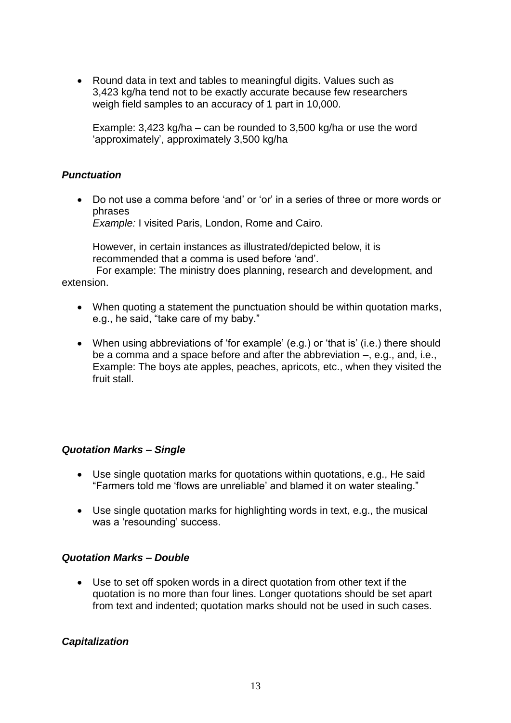Round data in text and tables to meaningful digits. Values such as 3,423 kg/ha tend not to be exactly accurate because few researchers weigh field samples to an accuracy of 1 part in 10,000.

Example: 3,423 kg/ha – can be rounded to 3,500 kg/ha or use the word 'approximately', approximately 3,500 kg/ha

### *Punctuation*

 Do not use a comma before 'and' or 'or' in a series of three or more words or phrases

*Example:* I visited Paris, London, Rome and Cairo.

However, in certain instances as illustrated/depicted below, it is recommended that a comma is used before 'and'.

 For example: The ministry does planning, research and development, and extension.

- When quoting a statement the punctuation should be within quotation marks, e.g., he said, "take care of my baby."
- When using abbreviations of 'for example' (e.g.) or 'that is' (i.e.) there should be a comma and a space before and after the abbreviation –, e.g., and, i.e., Example: The boys ate apples, peaches, apricots, etc., when they visited the fruit stall.

### *Quotation Marks – Single*

- Use single quotation marks for quotations within quotations, e.g., He said "Farmers told me 'flows are unreliable' and blamed it on water stealing."
- Use single quotation marks for highlighting words in text, e.g., the musical was a 'resounding' success.

### *Quotation Marks – Double*

 Use to set off spoken words in a direct quotation from other text if the quotation is no more than four lines. Longer quotations should be set apart from text and indented; quotation marks should not be used in such cases.

### *Capitalization*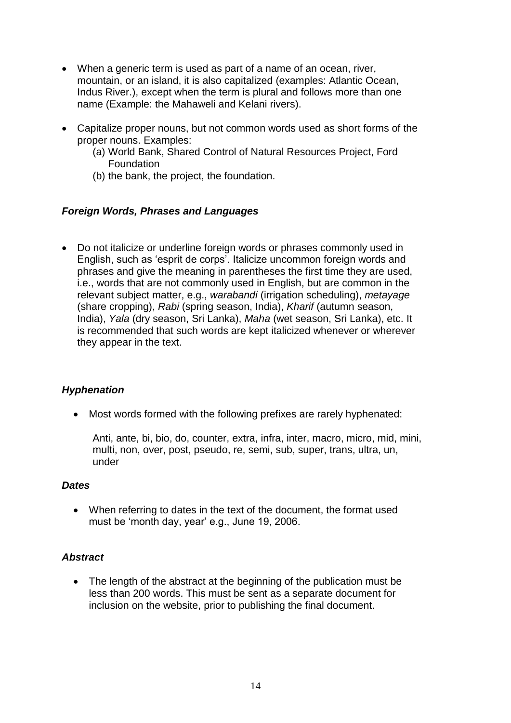- When a generic term is used as part of a name of an ocean, river, mountain, or an island, it is also capitalized (examples: Atlantic Ocean, Indus River.), except when the term is plural and follows more than one name (Example: the Mahaweli and Kelani rivers).
- Capitalize proper nouns, but not common words used as short forms of the proper nouns. Examples:
	- (a) World Bank, Shared Control of Natural Resources Project, Ford Foundation
	- (b) the bank, the project, the foundation.

### *Foreign Words, Phrases and Languages*

 Do not italicize or underline foreign words or phrases commonly used in English, such as 'esprit de corps'. Italicize uncommon foreign words and phrases and give the meaning in parentheses the first time they are used, i.e., words that are not commonly used in English, but are common in the relevant subject matter, e.g., *warabandi* (irrigation scheduling), *metayage* (share cropping), *Rabi* (spring season, India), *Kharif* (autumn season, India), *Yala* (dry season, Sri Lanka), *Maha* (wet season, Sri Lanka), etc. It is recommended that such words are kept italicized whenever or wherever they appear in the text.

# *Hyphenation*

Most words formed with the following prefixes are rarely hyphenated:

Anti, ante, bi, bio, do, counter, extra, infra, inter, macro, micro, mid, mini, multi, non, over, post, pseudo, re, semi, sub, super, trans, ultra, un, under

### *Dates*

 When referring to dates in the text of the document, the format used must be 'month day, year' e.g., June 19, 2006.

# *Abstract*

• The length of the abstract at the beginning of the publication must be less than 200 words. This must be sent as a separate document for inclusion on the website, prior to publishing the final document.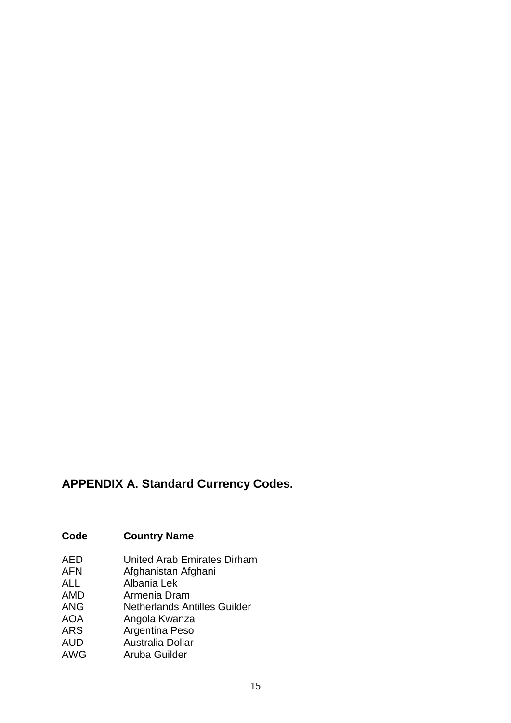# **APPENDIX A. Standard Currency Codes.**

# **Code Country Name**

- AED United Arab Emirates Dirham<br>AFN Afghanistan Afghani
- AFN Afghanistan Afghani<br>ALL Albania Lek
- Albania Lek
- AMD Armenia Dram<br>ANG Netherlands Ar
- **Netherlands Antilles Guilder**
- AOA Angola Kwanza
- ARS Argentina Peso
- AUD Australia Dollar
- AWG Aruba Guilder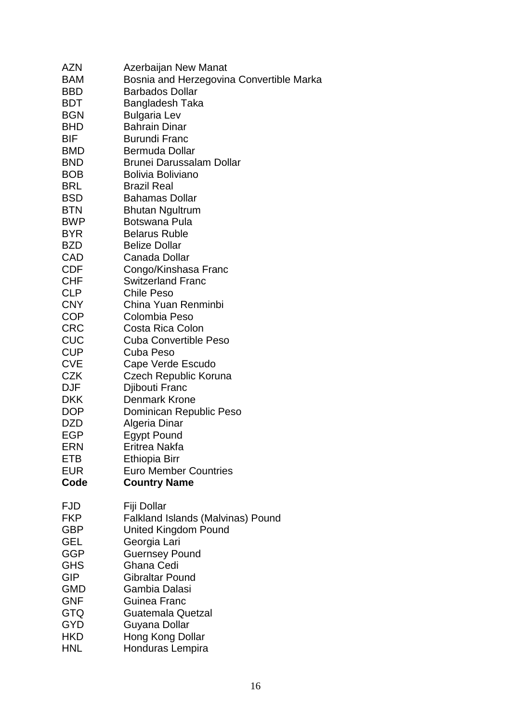| AZN<br><b>BAM</b>        | Azerbaijan New Manat<br>Bosnia and Herzegovina Convertible Marka |
|--------------------------|------------------------------------------------------------------|
| <b>BBD</b>               | <b>Barbados Dollar</b>                                           |
| <b>BDT</b>               | Bangladesh Taka                                                  |
| <b>BGN</b>               | <b>Bulgaria Lev</b>                                              |
| <b>BHD</b>               | <b>Bahrain Dinar</b>                                             |
| BIF                      | <b>Burundi Franc</b>                                             |
| <b>BMD</b>               | Bermuda Dollar                                                   |
| <b>BND</b>               | Brunei Darussalam Dollar                                         |
| <b>BOB</b>               | <b>Bolivia Boliviano</b>                                         |
| <b>BRL</b>               | <b>Brazil Real</b>                                               |
| <b>BSD</b>               | <b>Bahamas Dollar</b>                                            |
| <b>BTN</b>               | <b>Bhutan Ngultrum</b>                                           |
| <b>BWP</b>               | Botswana Pula                                                    |
| <b>BYR</b>               | <b>Belarus Ruble</b>                                             |
| <b>BZD</b>               | <b>Belize Dollar</b>                                             |
| CAD                      | Canada Dollar                                                    |
|                          |                                                                  |
| <b>CDF</b><br><b>CHF</b> | Congo/Kinshasa Franc<br><b>Switzerland Franc</b>                 |
|                          | <b>Chile Peso</b>                                                |
| <b>CLP</b>               | China Yuan Renminbi                                              |
| <b>CNY</b>               |                                                                  |
| <b>COP</b>               | Colombia Peso                                                    |
| <b>CRC</b>               | Costa Rica Colon<br><b>Cuba Convertible Peso</b>                 |
| CUC                      |                                                                  |
| <b>CUP</b>               | Cuba Peso                                                        |
| <b>CVE</b>               | Cape Verde Escudo                                                |
| <b>CZK</b>               | Czech Republic Koruna                                            |
| <b>DJF</b>               | Djibouti Franc                                                   |
| <b>DKK</b>               | Denmark Krone                                                    |
| <b>DOP</b>               | Dominican Republic Peso                                          |
| DZD                      | Algeria Dinar                                                    |
| <b>EGP</b>               | <b>Egypt Pound</b>                                               |
| <b>ERN</b>               | Eritrea Nakfa                                                    |
| ETB                      | <b>Ethiopia Birr</b>                                             |
| <b>EUR</b>               | <b>Euro Member Countries</b>                                     |
| Code                     | <b>Country Name</b>                                              |
|                          |                                                                  |
| <b>FJD</b><br><b>FKP</b> | Fiji Dollar<br><b>Falkland Islands (Malvinas) Pound</b>          |
| GBP                      |                                                                  |
|                          | <b>United Kingdom Pound</b><br>Georgia Lari                      |
| GEL<br><b>GGP</b>        |                                                                  |
|                          | <b>Guernsey Pound</b><br>Ghana Cedi                              |
| <b>GHS</b>               |                                                                  |
| <b>GIP</b>               | <b>Gibraltar Pound</b>                                           |
| GMD                      | Gambia Dalasi                                                    |
| <b>GNF</b>               | Guinea Franc                                                     |
| GTQ                      | Guatemala Quetzal                                                |
| <b>GYD</b>               | Guyana Dollar                                                    |
| <b>HKD</b>               | Hong Kong Dollar                                                 |
| <b>HNL</b>               | Honduras Lempira                                                 |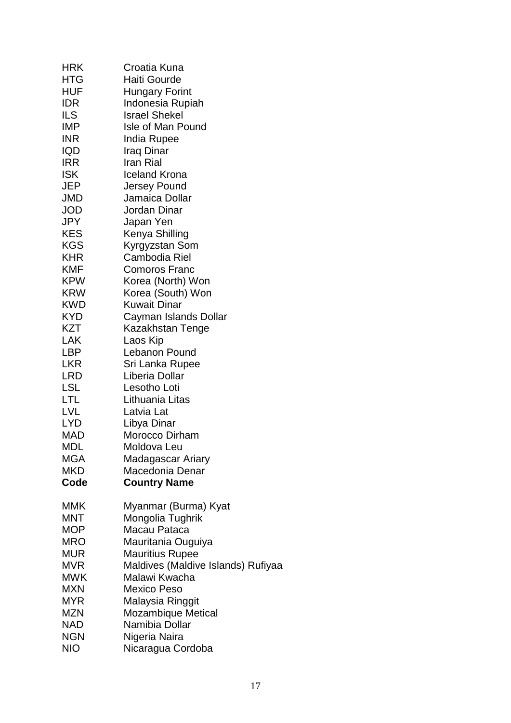| <b>HRK</b> | Croatia Kuna                       |
|------------|------------------------------------|
| <b>HTG</b> | Haiti Gourde                       |
| <b>HUF</b> | Hungary Forint                     |
| <b>IDR</b> | Indonesia Rupiah                   |
| ILS        | <b>Israel Shekel</b>               |
| <b>IMP</b> | Isle of Man Pound                  |
|            |                                    |
| <b>INR</b> | India Rupee                        |
| <b>IQD</b> | Iraq Dinar                         |
| <b>IRR</b> | Iran Rial                          |
| <b>ISK</b> | <b>Iceland Krona</b>               |
| JEP        | <b>Jersey Pound</b>                |
| JMD        | Jamaica Dollar                     |
| <b>JOD</b> | Jordan Dinar                       |
| JPY        | Japan Yen                          |
| <b>KES</b> | Kenya Shilling                     |
| <b>KGS</b> | Kyrgyzstan Som                     |
| <b>KHR</b> | Cambodia Riel                      |
| KMF        | <b>Comoros Franc</b>               |
|            |                                    |
| <b>KPW</b> | Korea (North) Won                  |
| <b>KRW</b> | Korea (South) Won                  |
| <b>KWD</b> | <b>Kuwait Dinar</b>                |
| <b>KYD</b> | Cayman Islands Dollar              |
| KZT        | Kazakhstan Tenge                   |
| LAK        | Laos Kip                           |
| LBP        | Lebanon Pound                      |
| <b>LKR</b> | Sri Lanka Rupee                    |
| <b>LRD</b> | Liberia Dollar                     |
| LSL        | Lesotho Loti                       |
| LTL        | Lithuania Litas                    |
| LVL        | Latvia Lat                         |
| <b>LYD</b> | Libya Dinar                        |
| <b>MAD</b> | Morocco Dirham                     |
| MDI        | Moldova Leu                        |
| MGA        | Madagascar Ariary                  |
| <b>MKD</b> | Macedonia Denar                    |
| Code       |                                    |
|            | <b>Country Name</b>                |
| MMK        | Myanmar (Burma) Kyat               |
| MNT        | Mongolia Tughrik                   |
| <b>MOP</b> | Macau Pataca                       |
|            |                                    |
| MRO        | Mauritania Ouguiya                 |
| <b>MUR</b> | <b>Mauritius Rupee</b>             |
| MVR        | Maldives (Maldive Islands) Rufiyaa |
| MWK        | Malawi Kwacha                      |
| <b>MXN</b> | <b>Mexico Peso</b>                 |
| MYR        | Malaysia Ringgit                   |
| <b>MZN</b> | Mozambique Metical                 |
| <b>NAD</b> | Namibia Dollar                     |
| <b>NGN</b> | Nigeria Naira                      |
| NIO        | Nicaragua Cordoba                  |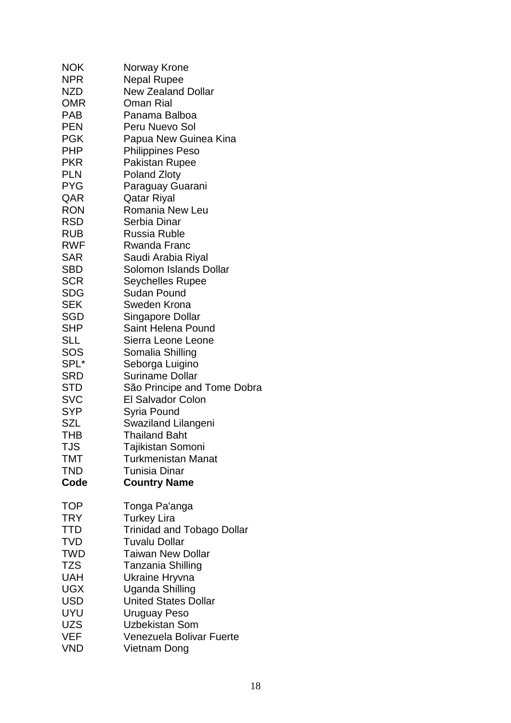| <b>NOK</b> | Norway Krone                           |
|------------|----------------------------------------|
| <b>NPR</b> | Nepal Rupee                            |
| NZD.       | <b>New Zealand Dollar</b>              |
| <b>OMR</b> | <b>Oman Rial</b>                       |
| <b>PAB</b> | Panama Balboa                          |
| <b>PEN</b> | Peru Nuevo Sol                         |
| <b>PGK</b> | Papua New Guinea Kina                  |
| <b>PHP</b> | <b>Philippines Peso</b>                |
| <b>PKR</b> | <b>Pakistan Rupee</b>                  |
| <b>PLN</b> | <b>Poland Zloty</b>                    |
| <b>PYG</b> | Paraguay Guarani                       |
| QAR        | Qatar Riyal                            |
| <b>RON</b> | Romania New Leu                        |
| RSD        | Serbia Dinar                           |
| <b>RUB</b> | <b>Russia Ruble</b>                    |
| <b>RWF</b> | Rwanda Franc                           |
| <b>SAR</b> | Saudi Arabia Riyal                     |
| SBD        | Solomon Islands Dollar                 |
| <b>SCR</b> |                                        |
| <b>SDG</b> | <b>Seychelles Rupee</b><br>Sudan Pound |
|            |                                        |
| <b>SEK</b> | Sweden Krona                           |
| SGD        | Singapore Dollar                       |
| SHP        | Saint Helena Pound                     |
| <b>SLL</b> | Sierra Leone Leone                     |
| SOS        | Somalia Shilling                       |
| SPL*       | Seborga Luigino                        |
| <b>SRD</b> | <b>Suriname Dollar</b>                 |
| STD        | São Principe and Tome Dobra            |
| <b>SVC</b> | <b>El Salvador Colon</b>               |
| <b>SYP</b> | Syria Pound                            |
| <b>SZL</b> | Swaziland Lilangeni                    |
| <b>THB</b> | <b>Thailand Baht</b>                   |
| TJS        | Tajikistan Somoni                      |
| <b>TMT</b> | Turkmenistan Manat                     |
| <b>TND</b> | Tunisia Dinar                          |
| Code       | <b>Country Name</b>                    |
|            |                                        |
| <b>TOP</b> | Tonga Pa'anga                          |
| <b>TRY</b> | <b>Turkey Lira</b>                     |
| <b>TTD</b> | <b>Trinidad and Tobago Dollar</b>      |
| <b>TVD</b> | <b>Tuvalu Dollar</b>                   |
| <b>TWD</b> | <b>Taiwan New Dollar</b>               |
|            |                                        |
| <b>TZS</b> | Tanzania Shilling                      |
| <b>UAH</b> | Ukraine Hryvna                         |
| <b>UGX</b> | Uganda Shilling                        |
| <b>USD</b> | <b>United States Dollar</b>            |
| UYU        | Uruguay Peso                           |
| <b>UZS</b> | <b>Uzbekistan Som</b>                  |
| <b>VEF</b> | Venezuela Bolivar Fuerte               |
| <b>VND</b> | Vietnam Dong                           |